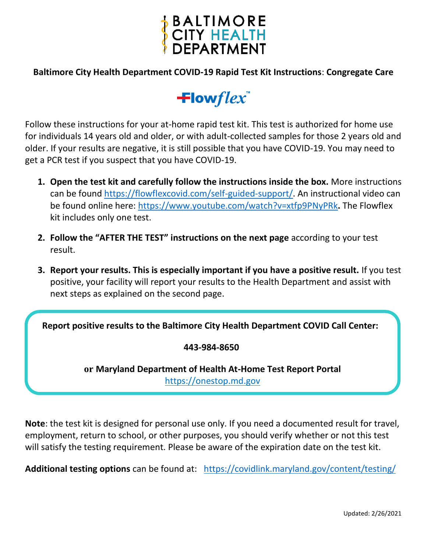

### **Baltimore City Health Department COVID-19 Rapid Test Kit Instructions**: **Congregate Care**

# $\pm$ lowflex

Follow these instructions for your at-home rapid test kit. This test is authorized for home use for individuals 14 years old and older, or with adult-collected samples for those 2 years old and older. If your results are negative, it is still possible that you have COVID-19. You may need to get a PCR test if you suspect that you have COVID-19.

- **1. Open the test kit and carefully follow the instructions inside the box.** More instructions can be found [https://flowflexcovid.com/self-guided-support/.](https://flowflexcovid.com/self-guided-support/) An instructional video can be found online here:<https://www.youtube.com/watch?v=xtfp9PNyPRk>**.** The Flowflex kit includes only one test.
- **2. Follow the "AFTER THE TEST" instructions on the next page** according to your test result.
- **3. Report your results. This is especially important if you have a positive result.** If you test positive, your facility will report your results to the Health Department and assist with next steps as explained on the second page.

**Report positive results to the Baltimore City Health Department COVID Call Center:**

#### **443-984-8650**

**or Maryland Department of Health At-Home Test Report Portal** https://onestop.md.gov

**Note**: the test kit is designed for personal use only. If you need a documented result for travel, employment, return to school, or other purposes, you should verify whether or not this test will satisfy the testing requirement. Please be aware of the expiration date on the test kit.

**Additional testing options** can be found at: <https://covidlink.maryland.gov/content/testing/>